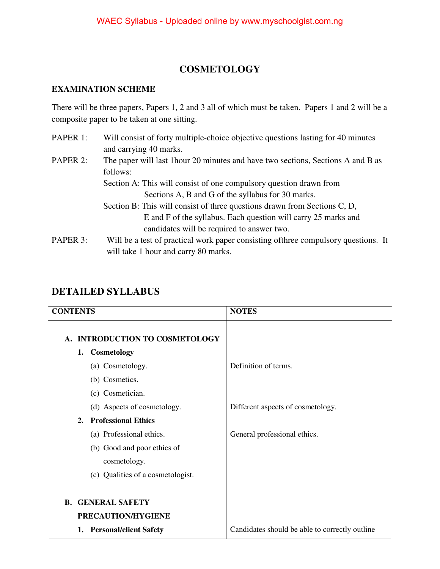### **COSMETOLOGY**

#### **EXAMINATION SCHEME**

There will be three papers, Papers 1, 2 and 3 all of which must be taken. Papers 1 and 2 will be a composite paper to be taken at one sitting.

PAPER 1: Will consist of forty multiple-choice objective questions lasting for 40 minutes and carrying 40 marks. PAPER 2: The paper will last 1 hour 20 minutes and have two sections, Sections A and B as follows: Section A: This will consist of one compulsory question drawn from Sections A, B and G of the syllabus for 30 marks. Section B: This will consist of three questions drawn from Sections C, D, E and F of the syllabus. Each question will carry 25 marks and candidates will be required to answer two. PAPER 3: Will be a test of practical work paper consisting of three compulsory questions. It will take 1 hour and carry 80 marks.

| <b>CONTENTS</b>                                | <b>NOTES</b>                                   |
|------------------------------------------------|------------------------------------------------|
| A. INTRODUCTION TO COSMETOLOGY                 |                                                |
| 1. Cosmetology                                 |                                                |
| (a) Cosmetology.                               | Definition of terms.                           |
| (b) Cosmetics.                                 |                                                |
| (c) Cosmetician.                               |                                                |
| (d) Aspects of cosmetology.                    | Different aspects of cosmetology.              |
| <b>Professional Ethics</b><br>2.               |                                                |
| (a) Professional ethics.                       | General professional ethics.                   |
| (b) Good and poor ethics of                    |                                                |
| cosmetology.                                   |                                                |
| (c) Qualities of a cosmetologist.              |                                                |
| <b>B. GENERAL SAFETY</b><br>PRECAUTION/HYGIENE |                                                |
| <b>Personal/client Safety</b><br>1.            | Candidates should be able to correctly outline |

### **DETAILED SYLLABUS**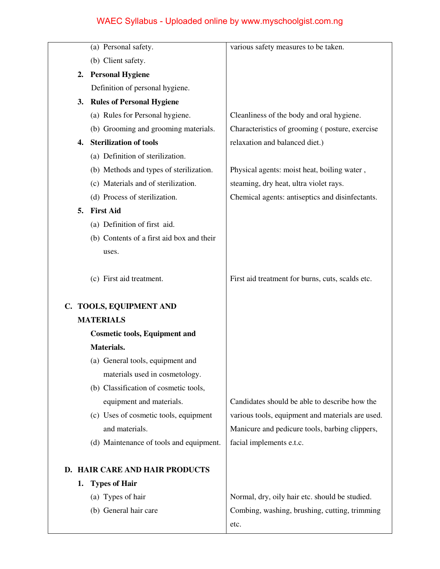|    | (a) Personal safety.                      | various safety measures to be taken.             |
|----|-------------------------------------------|--------------------------------------------------|
|    | (b) Client safety.                        |                                                  |
| 2. | <b>Personal Hygiene</b>                   |                                                  |
|    | Definition of personal hygiene.           |                                                  |
| 3. | <b>Rules of Personal Hygiene</b>          |                                                  |
|    | (a) Rules for Personal hygiene.           | Cleanliness of the body and oral hygiene.        |
|    | (b) Grooming and grooming materials.      | Characteristics of grooming (posture, exercise   |
| 4. | <b>Sterilization of tools</b>             | relaxation and balanced diet.)                   |
|    | (a) Definition of sterilization.          |                                                  |
|    | (b) Methods and types of sterilization.   | Physical agents: moist heat, boiling water,      |
|    | (c) Materials and of sterilization.       | steaming, dry heat, ultra violet rays.           |
|    | (d) Process of sterilization.             | Chemical agents: antiseptics and disinfectants.  |
| 5. | <b>First Aid</b>                          |                                                  |
|    | (a) Definition of first aid.              |                                                  |
|    | (b) Contents of a first aid box and their |                                                  |
|    | uses.                                     |                                                  |
|    |                                           |                                                  |
|    | (c) First aid treatment.                  | First aid treatment for burns, cuts, scalds etc. |
|    |                                           |                                                  |
|    | C. TOOLS, EQUIPMENT AND                   |                                                  |
|    | <b>MATERIALS</b>                          |                                                  |
|    | <b>Cosmetic tools, Equipment and</b>      |                                                  |
|    | Materials.                                |                                                  |
|    | (a) General tools, equipment and          |                                                  |
|    | materials used in cosmetology.            |                                                  |
|    | (b) Classification of cosmetic tools,     |                                                  |
|    | equipment and materials.                  | Candidates should be able to describe how the    |
|    | (c) Uses of cosmetic tools, equipment     | various tools, equipment and materials are used. |
|    | and materials.                            | Manicure and pedicure tools, barbing clippers,   |
|    | (d) Maintenance of tools and equipment.   | facial implements e.t.c.                         |
|    |                                           |                                                  |
|    | D. HAIR CARE AND HAIR PRODUCTS            |                                                  |
| 1. | <b>Types of Hair</b>                      |                                                  |
|    | (a) Types of hair                         | Normal, dry, oily hair etc. should be studied.   |
|    | (b) General hair care                     | Combing, washing, brushing, cutting, trimming    |
|    |                                           | etc.                                             |
|    |                                           |                                                  |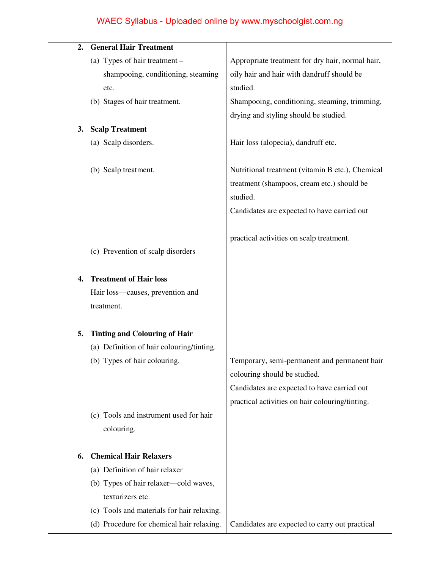| 2. | <b>General Hair Treatment</b>              |                                                  |
|----|--------------------------------------------|--------------------------------------------------|
|    | (a) Types of hair treatment -              | Appropriate treatment for dry hair, normal hair, |
|    | shampooing, conditioning, steaming         | oily hair and hair with dandruff should be       |
|    | etc.                                       | studied.                                         |
|    | (b) Stages of hair treatment.              | Shampooing, conditioning, steaming, trimming,    |
|    |                                            | drying and styling should be studied.            |
| 3. | <b>Scalp Treatment</b>                     |                                                  |
|    | (a) Scalp disorders.                       | Hair loss (alopecia), dandruff etc.              |
|    |                                            |                                                  |
|    | (b) Scalp treatment.                       | Nutritional treatment (vitamin B etc.), Chemical |
|    |                                            | treatment (shampoos, cream etc.) should be       |
|    |                                            | studied.                                         |
|    |                                            | Candidates are expected to have carried out      |
|    |                                            |                                                  |
|    | (c) Prevention of scalp disorders          | practical activities on scalp treatment.         |
|    |                                            |                                                  |
| 4. | <b>Treatment of Hair loss</b>              |                                                  |
|    | Hair loss-causes, prevention and           |                                                  |
|    | treatment.                                 |                                                  |
|    |                                            |                                                  |
| 5. | <b>Tinting and Colouring of Hair</b>       |                                                  |
|    | (a) Definition of hair colouring/tinting.  |                                                  |
|    | (b) Types of hair colouring.               | Temporary, semi-permanent and permanent hair     |
|    |                                            | colouring should be studied.                     |
|    |                                            | Candidates are expected to have carried out      |
|    |                                            | practical activities on hair colouring/tinting.  |
|    | (c) Tools and instrument used for hair     |                                                  |
|    | colouring.                                 |                                                  |
| 6. | <b>Chemical Hair Relaxers</b>              |                                                  |
|    | (a) Definition of hair relaxer             |                                                  |
|    | (b) Types of hair relaxer—cold waves,      |                                                  |
|    | texturizers etc.                           |                                                  |
|    | (c) Tools and materials for hair relaxing. |                                                  |
|    | (d) Procedure for chemical hair relaxing.  | Candidates are expected to carry out practical   |
|    |                                            |                                                  |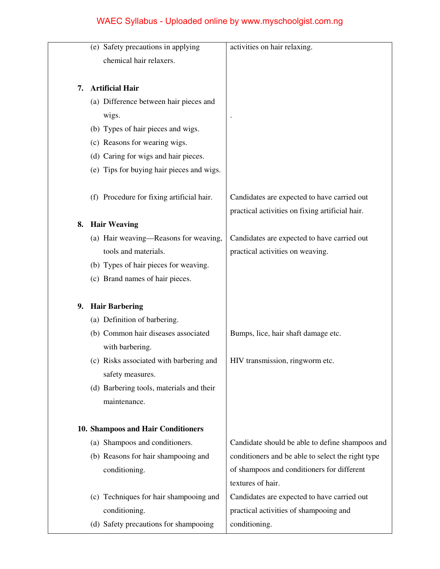|    | (e) Safety precautions in applying        | activities on hair relaxing.                      |
|----|-------------------------------------------|---------------------------------------------------|
|    | chemical hair relaxers.                   |                                                   |
|    |                                           |                                                   |
| 7. | <b>Artificial Hair</b>                    |                                                   |
|    | (a) Difference between hair pieces and    |                                                   |
|    | wigs.                                     |                                                   |
|    | (b) Types of hair pieces and wigs.        |                                                   |
|    | (c) Reasons for wearing wigs.             |                                                   |
|    | (d) Caring for wigs and hair pieces.      |                                                   |
|    | (e) Tips for buying hair pieces and wigs. |                                                   |
|    |                                           |                                                   |
|    | (f) Procedure for fixing artificial hair. | Candidates are expected to have carried out       |
|    |                                           | practical activities on fixing artificial hair.   |
| 8. | <b>Hair Weaving</b>                       |                                                   |
|    | (a) Hair weaving—Reasons for weaving,     | Candidates are expected to have carried out       |
|    | tools and materials.                      | practical activities on weaving.                  |
|    | (b) Types of hair pieces for weaving.     |                                                   |
|    | (c) Brand names of hair pieces.           |                                                   |
| 9. | <b>Hair Barbering</b>                     |                                                   |
|    | (a) Definition of barbering.              |                                                   |
|    | (b) Common hair diseases associated       | Bumps, lice, hair shaft damage etc.               |
|    | with barbering.                           |                                                   |
|    | (c) Risks associated with barbering and   | HIV transmission, ringworm etc.                   |
|    | safety measures.                          |                                                   |
|    | (d) Barbering tools, materials and their  |                                                   |
|    | maintenance.                              |                                                   |
|    |                                           |                                                   |
|    | 10. Shampoos and Hair Conditioners        |                                                   |
|    | (a) Shampoos and conditioners.            | Candidate should be able to define shampoos and   |
|    | (b) Reasons for hair shampooing and       | conditioners and be able to select the right type |
|    | conditioning.                             | of shampoos and conditioners for different        |
|    |                                           | textures of hair.                                 |
|    | (c) Techniques for hair shampooing and    | Candidates are expected to have carried out       |
|    | conditioning.                             | practical activities of shampooing and            |
|    | (d) Safety precautions for shampooing     | conditioning.                                     |
|    |                                           |                                                   |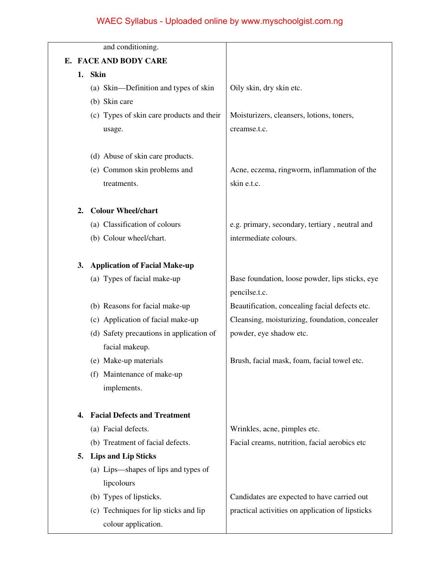|    | and conditioning.                         |                                                  |
|----|-------------------------------------------|--------------------------------------------------|
| Е. | <b>FACE AND BODY CARE</b>                 |                                                  |
|    | 1. Skin                                   |                                                  |
|    | (a) Skin—Definition and types of skin     | Oily skin, dry skin etc.                         |
|    | (b) Skin care                             |                                                  |
|    | (c) Types of skin care products and their | Moisturizers, cleansers, lotions, toners,        |
|    | usage.                                    | creamse.t.c.                                     |
|    | (d) Abuse of skin care products.          |                                                  |
|    | (e) Common skin problems and              | Acne, eczema, ringworm, inflammation of the      |
|    | treatments.                               | skin e.t.c.                                      |
| 2. | <b>Colour Wheel/chart</b>                 |                                                  |
|    | (a) Classification of colours             | e.g. primary, secondary, tertiary, neutral and   |
|    | (b) Colour wheel/chart.                   | intermediate colours.                            |
| 3. | <b>Application of Facial Make-up</b>      |                                                  |
|    | (a) Types of facial make-up               | Base foundation, loose powder, lips sticks, eye  |
|    |                                           | pencilse.t.c.                                    |
|    | (b) Reasons for facial make-up            | Beautification, concealing facial defects etc.   |
|    | (c) Application of facial make-up         | Cleansing, moisturizing, foundation, concealer   |
|    | (d) Safety precautions in application of  | powder, eye shadow etc.                          |
|    | facial makeup.                            |                                                  |
|    | (e) Make-up materials                     | Brush, facial mask, foam, facial towel etc.      |
|    | (f) Maintenance of make-up                |                                                  |
|    | implements.                               |                                                  |
| 4. | <b>Facial Defects and Treatment</b>       |                                                  |
|    | (a) Facial defects.                       | Wrinkles, acne, pimples etc.                     |
|    | (b) Treatment of facial defects.          | Facial creams, nutrition, facial aerobics etc    |
| 5. | <b>Lips and Lip Sticks</b>                |                                                  |
|    | (a) Lips—shapes of lips and types of      |                                                  |
|    | lipcolours                                |                                                  |
|    | (b) Types of lipsticks.                   | Candidates are expected to have carried out      |
|    | (c) Techniques for lip sticks and lip     | practical activities on application of lipsticks |
|    | colour application.                       |                                                  |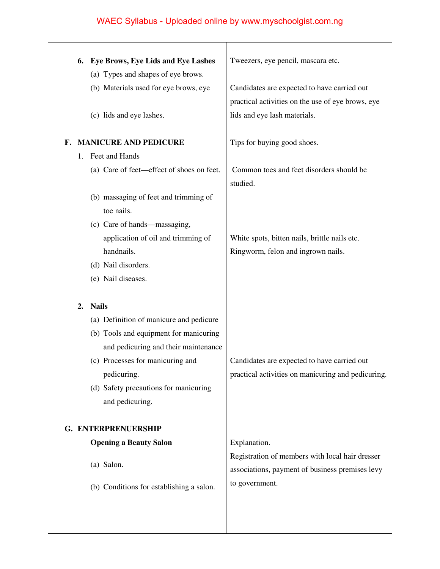|    | 6. | Eye Brows, Eye Lids and Eye Lashes                                          | Tweezers, eye pencil, mascara etc.                                                                 |
|----|----|-----------------------------------------------------------------------------|----------------------------------------------------------------------------------------------------|
|    |    | (a) Types and shapes of eye brows.<br>(b) Materials used for eye brows, eye | Candidates are expected to have carried out<br>practical activities on the use of eye brows, eye   |
|    |    | (c) lids and eye lashes.                                                    | lids and eye lash materials.                                                                       |
| F. |    | <b>MANICURE AND PEDICURE</b>                                                | Tips for buying good shoes.                                                                        |
|    | 1. | Feet and Hands                                                              |                                                                                                    |
|    |    | (a) Care of feet—effect of shoes on feet.                                   | Common toes and feet disorders should be<br>studied.                                               |
|    |    | (b) massaging of feet and trimming of<br>toe nails.                         |                                                                                                    |
|    |    | (c) Care of hands—massaging,                                                |                                                                                                    |
|    |    | application of oil and trimming of                                          | White spots, bitten nails, brittle nails etc.                                                      |
|    |    | handnails.                                                                  | Ringworm, felon and ingrown nails.                                                                 |
|    |    | (d) Nail disorders.                                                         |                                                                                                    |
|    |    | (e) Nail diseases.                                                          |                                                                                                    |
|    |    |                                                                             |                                                                                                    |
|    | 2. | <b>Nails</b>                                                                |                                                                                                    |
|    |    | (a) Definition of manicure and pedicure                                     |                                                                                                    |
|    |    | (b) Tools and equipment for manicuring                                      |                                                                                                    |
|    |    | and pedicuring and their maintenance                                        |                                                                                                    |
|    |    | (c) Processes for manicuring and                                            | Candidates are expected to have carried out                                                        |
|    |    | pedicuring.                                                                 | practical activities on manicuring and pedicuring.                                                 |
|    |    | (d) Safety precautions for manicuring                                       |                                                                                                    |
|    |    | and pedicuring.                                                             |                                                                                                    |
|    |    | G. ENTERPRENUERSHIP                                                         |                                                                                                    |
|    |    | <b>Opening a Beauty Salon</b>                                               | Explanation.                                                                                       |
|    |    | (a) Salon.                                                                  | Registration of members with local hair dresser<br>associations, payment of business premises levy |
|    |    | (b) Conditions for establishing a salon.                                    | to government.                                                                                     |
|    |    |                                                                             |                                                                                                    |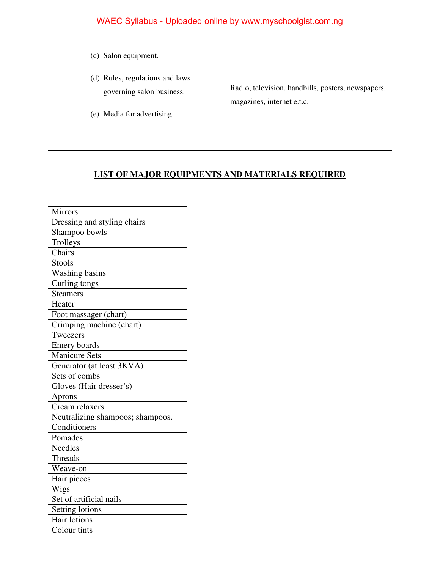| (c) Salon equipment.                                                                      |                                                                                  |
|-------------------------------------------------------------------------------------------|----------------------------------------------------------------------------------|
| (d) Rules, regulations and laws<br>governing salon business.<br>(e) Media for advertising | Radio, television, handbills, posters, newspapers,<br>magazines, internet e.t.c. |

#### **LIST OF MAJOR EQUIPMENTS AND MATERIALS REQUIRED**

| <b>Mirrors</b>                   |
|----------------------------------|
| Dressing and styling chairs      |
| Shampoo bowls                    |
| Trolleys                         |
| Chairs                           |
| <b>Stools</b>                    |
| Washing basins                   |
| Curling tongs                    |
| <b>Steamers</b>                  |
| Heater                           |
| Foot massager (chart)            |
| Crimping machine (chart)         |
| Tweezers                         |
| Emery boards                     |
| <b>Manicure Sets</b>             |
| Generator (at least 3KVA)        |
| Sets of combs                    |
| Gloves (Hair dresser's)          |
| Aprons                           |
| Cream relaxers                   |
| Neutralizing shampoos; shampoos. |
| Conditioners                     |
| Pomades                          |
| <b>Needles</b>                   |
| <b>Threads</b>                   |
| Weave-on                         |
| Hair pieces                      |
| Wigs                             |
| Set of artificial nails          |
| Setting lotions                  |
| Hair lotions                     |
| Colour tints                     |